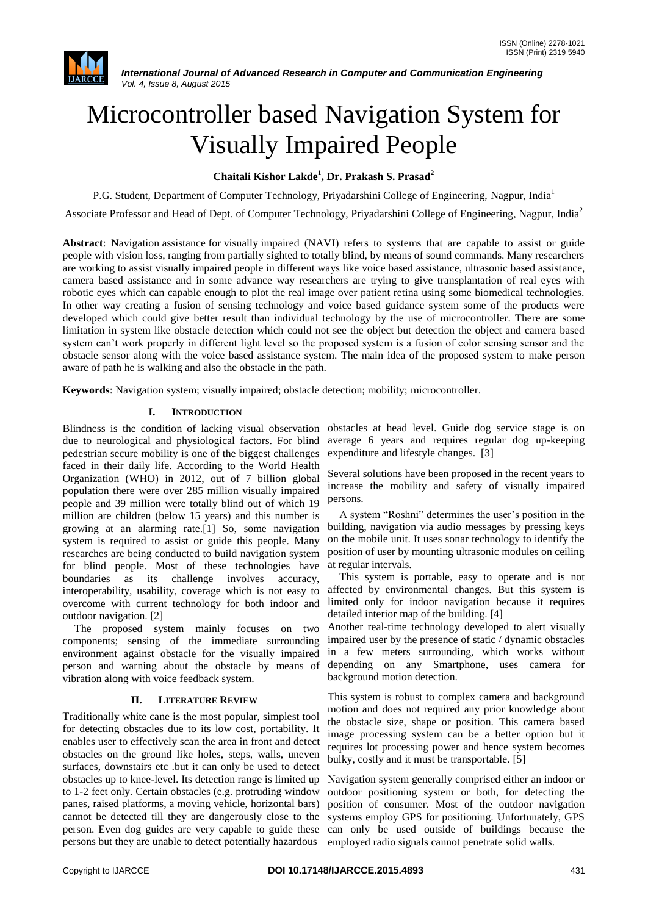

# Microcontroller based Navigation System for Visually Impaired People

# **Chaitali Kishor Lakde<sup>1</sup> , Dr. Prakash S. Prasad<sup>2</sup>**

P.G. Student, Department of Computer Technology, Priyadarshini College of Engineering, Nagpur, India<sup>1</sup>

Associate Professor and Head of Dept. of Computer Technology, Priyadarshini College of Engineering, Nagpur, India<sup>2</sup>

**Abstract**: Navigation assistance for visually impaired (NAVI) refers to systems that are capable to assist or guide people with vision loss, ranging from partially sighted to totally blind, by means of sound commands. Many researchers are working to assist visually impaired people in different ways like voice based assistance, ultrasonic based assistance, camera based assistance and in some advance way researchers are trying to give transplantation of real eyes with robotic eyes which can capable enough to plot the real image over patient retina using some biomedical technologies. In other way creating a fusion of sensing technology and voice based guidance system some of the products were developed which could give better result than individual technology by the use of microcontroller. There are some limitation in system like obstacle detection which could not see the object but detection the object and camera based system can't work properly in different light level so the proposed system is a fusion of color sensing sensor and the obstacle sensor along with the voice based assistance system. The main idea of the proposed system to make person aware of path he is walking and also the obstacle in the path.

**Keywords**: Navigation system; visually impaired; obstacle detection; mobility; microcontroller.

# **I. INTRODUCTION**

Blindness is the condition of lacking visual observation obstacles at head level. Guide dog service stage is on due to neurological and physiological factors. For blind pedestrian secure mobility is one of the biggest challenges faced in their daily life. According to the World Health Organization (WHO) in 2012, out of 7 billion global population there were over 285 million visually impaired people and 39 million were totally blind out of which 19 million are children (below 15 years) and this number is growing at an alarming rate.[1] So, some navigation system is required to assist or guide this people. Many researches are being conducted to build navigation system for blind people. Most of these technologies have boundaries as its challenge involves accuracy, interoperability, usability, coverage which is not easy to overcome with current technology for both indoor and outdoor navigation. [2]

The proposed system mainly focuses on two components; sensing of the immediate surrounding environment against obstacle for the visually impaired person and warning about the obstacle by means of vibration along with voice feedback system.

#### **II. LITERATURE REVIEW**

Traditionally white cane is the most popular, simplest tool for detecting obstacles due to its low cost, portability. It enables user to effectively scan the area in front and detect obstacles on the ground like holes, steps, walls, uneven surfaces, downstairs etc .but it can only be used to detect obstacles up to knee-level. Its detection range is limited up to 1-2 feet only. Certain obstacles (e.g. protruding window panes, raised platforms, a moving vehicle, horizontal bars) cannot be detected till they are dangerously close to the person. Even dog guides are very capable to guide these persons but they are unable to detect potentially hazardous

average 6 years and requires regular dog up-keeping expenditure and lifestyle changes. [3]

Several solutions have been proposed in the recent years to increase the mobility and safety of visually impaired persons.

A system "Roshni" determines the user"s position in the building, navigation via audio messages by pressing keys on the mobile unit. It uses sonar technology to identify the position of user by mounting ultrasonic modules on ceiling at regular intervals.

This system is portable, easy to operate and is not affected by environmental changes. But this system is limited only for indoor navigation because it requires detailed interior map of the building. [4]

Another real-time technology developed to alert visually impaired user by the presence of static / dynamic obstacles in a few meters surrounding, which works without depending on any Smartphone, uses camera for background motion detection.

This system is robust to complex camera and background motion and does not required any prior knowledge about the obstacle size, shape or position. This camera based image processing system can be a better option but it requires lot processing power and hence system becomes bulky, costly and it must be transportable. [5]

Navigation system generally comprised either an indoor or outdoor positioning system or both, for detecting the position of consumer. Most of the outdoor navigation systems employ GPS for positioning. Unfortunately, GPS can only be used outside of buildings because the employed radio signals cannot penetrate solid walls.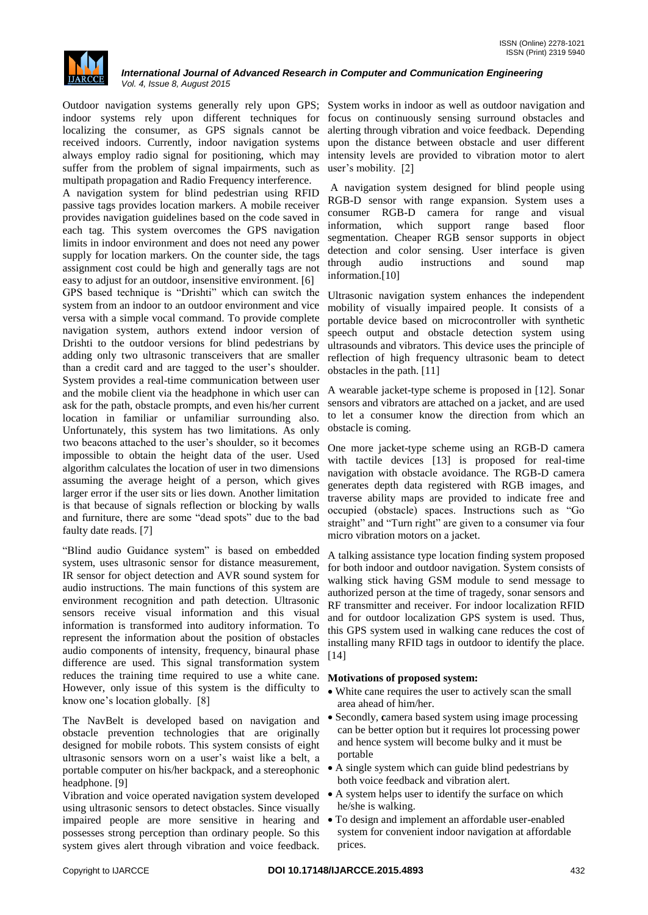

Outdoor navigation systems generally rely upon GPS; System works in indoor as well as outdoor navigation and indoor systems rely upon different techniques for localizing the consumer, as GPS signals cannot be received indoors. Currently, indoor navigation systems always employ radio signal for positioning, which may suffer from the problem of signal impairments, such as multipath propagation and Radio Frequency interference.

A navigation system for blind pedestrian using RFID passive tags provides location markers. A mobile receiver provides navigation guidelines based on the code saved in each tag. This system overcomes the GPS navigation limits in indoor environment and does not need any power supply for location markers. On the counter side, the tags assignment cost could be high and generally tags are not easy to adjust for an outdoor, insensitive environment. [6] GPS based technique is "Drishti" which can switch the system from an indoor to an outdoor environment and vice versa with a simple vocal command. To provide complete navigation system, authors extend indoor version of Drishti to the outdoor versions for blind pedestrians by adding only two ultrasonic transceivers that are smaller than a credit card and are tagged to the user"s shoulder. System provides a real-time communication between user and the mobile client via the headphone in which user can ask for the path, obstacle prompts, and even his/her current location in familiar or unfamiliar surrounding also. Unfortunately, this system has two limitations. As only two beacons attached to the user"s shoulder, so it becomes impossible to obtain the height data of the user. Used algorithm calculates the location of user in two dimensions assuming the average height of a person, which gives larger error if the user sits or lies down. Another limitation is that because of signals reflection or blocking by walls and furniture, there are some "dead spots" due to the bad faulty date reads. [7]

"Blind audio Guidance system" is based on embedded system, uses ultrasonic sensor for distance measurement, IR sensor for object detection and AVR sound system for audio instructions. The main functions of this system are environment recognition and path detection. Ultrasonic sensors receive visual information and this visual information is transformed into auditory information. To represent the information about the position of obstacles audio components of intensity, frequency, binaural phase difference are used. This signal transformation system reduces the training time required to use a white cane. However, only issue of this system is the difficulty to know one's location globally. [8]

The NavBelt is developed based on navigation and obstacle prevention technologies that are originally designed for mobile robots. This system consists of eight ultrasonic sensors worn on a user"s waist like a belt, a portable computer on his/her backpack, and a stereophonic headphone. [9]

Vibration and voice operated navigation system developed using ultrasonic sensors to detect obstacles. Since visually impaired people are more sensitive in hearing and possesses strong perception than ordinary people. So this system gives alert through vibration and voice feedback.

focus on continuously sensing surround obstacles and alerting through vibration and voice feedback. Depending upon the distance between obstacle and user different intensity levels are provided to vibration motor to alert user's mobility. [2]

A navigation system designed for blind people using RGB-D sensor with range expansion. System uses a consumer RGB-D camera for range and visual information, which support range based floor segmentation. Cheaper RGB sensor supports in object detection and color sensing. User interface is given through audio instructions and sound map information.[10]

Ultrasonic navigation system enhances the independent mobility of visually impaired people. It consists of a portable device based on microcontroller with synthetic speech output and obstacle detection system using ultrasounds and vibrators. This device uses the principle of reflection of high frequency ultrasonic beam to detect obstacles in the path. [11]

A wearable jacket-type scheme is proposed in [12]. Sonar sensors and vibrators are attached on a jacket, and are used to let a consumer know the direction from which an obstacle is coming.

One more jacket-type scheme using an RGB-D camera with tactile devices [13] is proposed for real-time navigation with obstacle avoidance. The RGB-D camera generates depth data registered with RGB images, and traverse ability maps are provided to indicate free and occupied (obstacle) spaces. Instructions such as "Go straight" and "Turn right" are given to a consumer via four micro vibration motors on a jacket.

A talking assistance type location finding system proposed for both indoor and outdoor navigation. System consists of walking stick having GSM module to send message to authorized person at the time of tragedy, sonar sensors and RF transmitter and receiver. For indoor localization RFID and for outdoor localization GPS system is used. Thus, this GPS system used in walking cane reduces the cost of installing many RFID tags in outdoor to identify the place. [14]

# **Motivations of proposed system:**

- White cane requires the user to actively scan the small area ahead of him/her.
- Secondly, **c**amera based system using image processing can be better option but it requires lot processing power and hence system will become bulky and it must be portable
- A single system which can guide blind pedestrians by both voice feedback and vibration alert.
- A system helps user to identify the surface on which he/she is walking.
- To design and implement an affordable user-enabled system for convenient indoor navigation at affordable prices.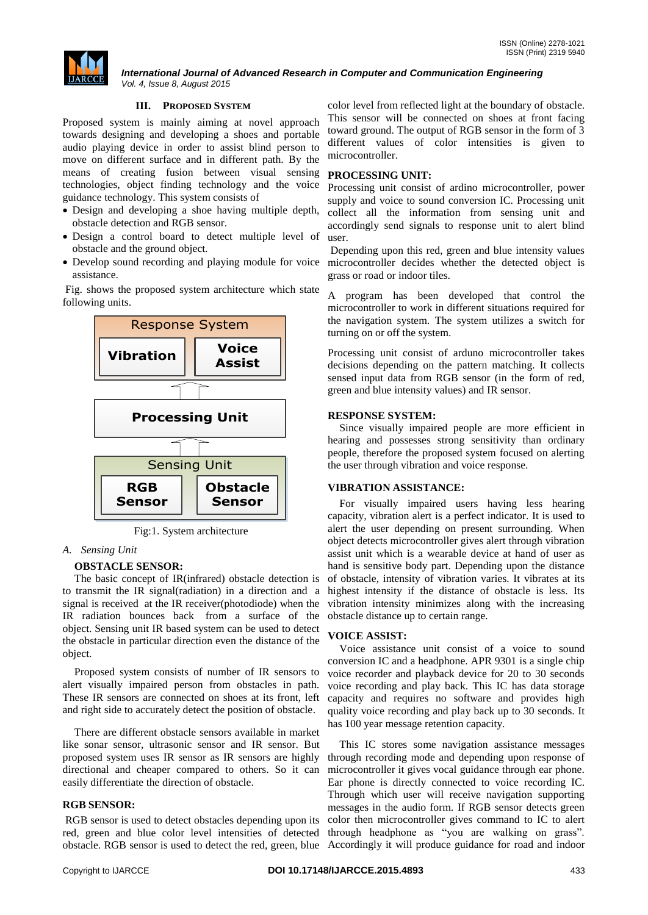

#### **III. PROPOSED SYSTEM**

Proposed system is mainly aiming at novel approach towards designing and developing a shoes and portable audio playing device in order to assist blind person to move on different surface and in different path. By the means of creating fusion between visual sensing technologies, object finding technology and the voice guidance technology. This system consists of

- Design and developing a shoe having multiple depth, obstacle detection and RGB sensor.
- Design a control board to detect multiple level of obstacle and the ground object.
- Develop sound recording and playing module for voice assistance.

Fig. shows the proposed system architecture which state following units.



Fig:1. System architecture

# *A. Sensing Unit*

# **OBSTACLE SENSOR:**

The basic concept of IR(infrared) obstacle detection is to transmit the IR signal(radiation) in a direction and a signal is received at the IR receiver(photodiode) when the IR radiation bounces back from a surface of the object. Sensing unit IR based system can be used to detect the obstacle in particular direction even the distance of the object.

Proposed system consists of number of IR sensors to alert visually impaired person from obstacles in path. These IR sensors are connected on shoes at its front, left and right side to accurately detect the position of obstacle.

There are different obstacle sensors available in market like sonar sensor, ultrasonic sensor and IR sensor. But proposed system uses IR sensor as IR sensors are highly directional and cheaper compared to others. So it can easily differentiate the direction of obstacle.

# **RGB SENSOR:**

RGB sensor is used to detect obstacles depending upon its red, green and blue color level intensities of detected obstacle. RGB sensor is used to detect the red, green, blue Accordingly it will produce guidance for road and indoor

color level from reflected light at the boundary of obstacle. This sensor will be connected on shoes at front facing toward ground. The output of RGB sensor in the form of 3 different values of color intensities is given to microcontroller.

#### **PROCESSING UNIT:**

Processing unit consist of ardino microcontroller, power supply and voice to sound conversion IC. Processing unit collect all the information from sensing unit and accordingly send signals to response unit to alert blind user.

Depending upon this red, green and blue intensity values microcontroller decides whether the detected object is grass or road or indoor tiles.

A program has been developed that control the microcontroller to work in different situations required for the navigation system. The system utilizes a switch for turning on or off the system.

Processing unit consist of arduno microcontroller takes decisions depending on the pattern matching. It collects sensed input data from RGB sensor (in the form of red, green and blue intensity values) and IR sensor.

#### **RESPONSE SYSTEM:**

Since visually impaired people are more efficient in hearing and possesses strong sensitivity than ordinary people, therefore the proposed system focused on alerting the user through vibration and voice response.

# **VIBRATION ASSISTANCE:**

For visually impaired users having less hearing capacity, vibration alert is a perfect indicator. It is used to alert the user depending on present surrounding. When object detects microcontroller gives alert through vibration assist unit which is a wearable device at hand of user as hand is sensitive body part. Depending upon the distance of obstacle, intensity of vibration varies. It vibrates at its highest intensity if the distance of obstacle is less. Its vibration intensity minimizes along with the increasing obstacle distance up to certain range.

#### **VOICE ASSIST:**

Voice assistance unit consist of a voice to sound conversion IC and a headphone. APR 9301 is a single chip voice recorder and playback device for 20 to 30 seconds voice recording and play back. This IC has data storage capacity and requires no software and provides high quality voice recording and play back up to 30 seconds. It has 100 year message retention capacity.

This IC stores some navigation assistance messages through recording mode and depending upon response of microcontroller it gives vocal guidance through ear phone. Ear phone is directly connected to voice recording IC. Through which user will receive navigation supporting messages in the audio form. If RGB sensor detects green color then microcontroller gives command to IC to alert through headphone as "you are walking on grass".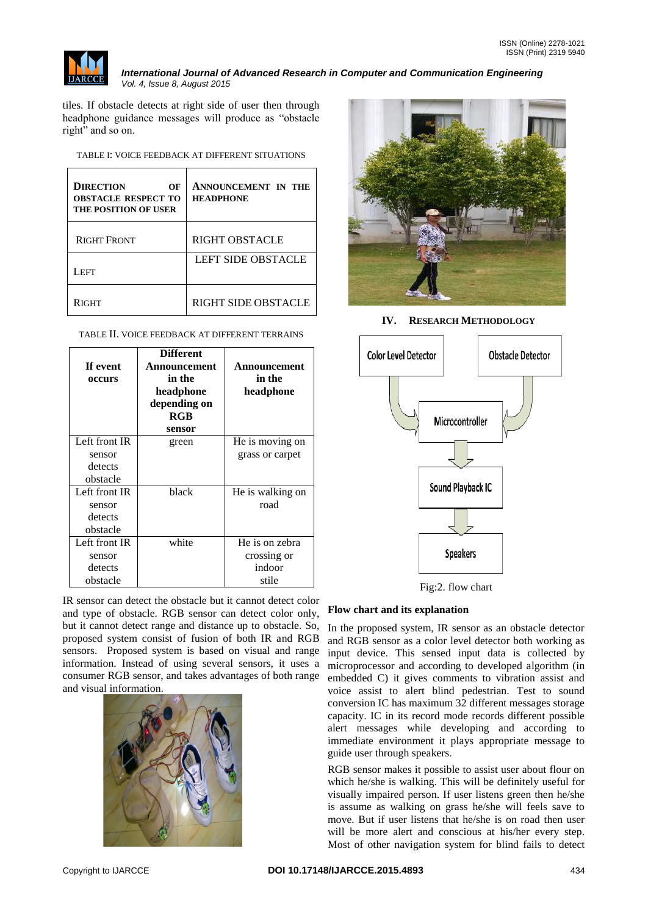

tiles. If obstacle detects at right side of user then through headphone guidance messages will produce as "obstacle right" and so on.

TABLE I: VOICE FEEDBACK AT DIFFERENT SITUATIONS

| <b>DIRECTION</b><br>ОF<br><b>OBSTACLE RESPECT TO</b><br><b>THE POSITION OF USER</b> | <b>ANNOUNCEMENT IN THE</b><br><b>HEADPHONE</b> |
|-------------------------------------------------------------------------------------|------------------------------------------------|
| <b>RIGHT FRONT</b>                                                                  | <b>RIGHT OBSTACLE</b>                          |
| <b>FFT</b>                                                                          | <b>LEFT SIDE OBSTACLE</b>                      |
| <b>IGHT</b>                                                                         | <b>RIGHT SIDE OBSTACLE</b>                     |

| TABLE II. VOICE FEEDBACK AT DIFFERENT TERRAINS |  |
|------------------------------------------------|--|
|------------------------------------------------|--|

| <b>If</b> event<br>occurs | <b>Different</b><br>Announcement<br>in the<br>headphone<br>depending on<br>RGB | Announcement<br>in the<br>headphone |
|---------------------------|--------------------------------------------------------------------------------|-------------------------------------|
| Left front IR             | sensor<br>green                                                                | He is moving on                     |
| sensor                    |                                                                                | grass or carpet                     |
| detects                   |                                                                                |                                     |
| obstacle                  |                                                                                |                                     |
| Left front IR             | black                                                                          | He is walking on                    |
| sensor                    |                                                                                | road                                |
| detects                   |                                                                                |                                     |
| obstacle                  |                                                                                |                                     |
| Left front IR             | white                                                                          | He is on zebra                      |
| sensor                    |                                                                                | crossing or                         |
| detects                   |                                                                                | indoor                              |
| obstacle                  |                                                                                | stile                               |

IR sensor can detect the obstacle but it cannot detect color and type of obstacle. RGB sensor can detect color only, but it cannot detect range and distance up to obstacle. So, proposed system consist of fusion of both IR and RGB sensors. Proposed system is based on visual and range information. Instead of using several sensors, it uses a consumer RGB sensor, and takes advantages of both range and visual information.





**IV. RESEARCH METHODOLOGY**



Fig:2. flow chart

# **Flow chart and its explanation**

In the proposed system, IR sensor as an obstacle detector and RGB sensor as a color level detector both working as input device. This sensed input data is collected by microprocessor and according to developed algorithm (in embedded C) it gives comments to vibration assist and voice assist to alert blind pedestrian. Test to sound conversion IC has maximum 32 different messages storage capacity. IC in its record mode records different possible alert messages while developing and according to immediate environment it plays appropriate message to guide user through speakers.

RGB sensor makes it possible to assist user about flour on which he/she is walking. This will be definitely useful for visually impaired person. If user listens green then he/she is assume as walking on grass he/she will feels save to move. But if user listens that he/she is on road then user will be more alert and conscious at his/her every step. Most of other navigation system for blind fails to detect